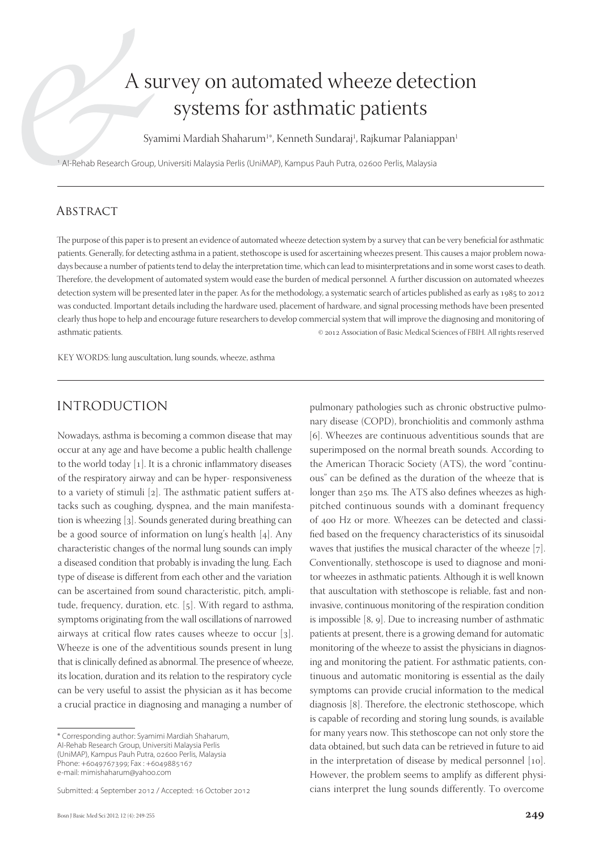# A survey on automated wheeze detection systems for asthmatic patients

Syamimi Mardiah Shaharum1\*, Kenneth Sundaraj<sup>1</sup>, Rajkumar Palaniappan<sup>1</sup>

1 AI-Rehab Research Group, Universiti Malaysia Perlis (UniMAP), Kampus Pauh Putra, 02600 Perlis, Malaysia

## **ABSTRACT**

The purpose of this paper is to present an evidence of automated wheeze detection system by a survey that can be very beneficial for asthmatic patients. Generally, for detecting asthma in a patient, stethoscope is used for ascertaining wheezes present. This causes a major problem nowadays because a number of patients tend to delay the interpretation time, which can lead to misinterpretations and in some worst cases to death. Therefore, the development of automated system would ease the burden of medical personnel. A further discussion on automated wheezes detection system will be presented later in the paper. As for the methodology, a systematic search of articles published as early as 1985 to 2012 was conducted. Important details including the hardware used, placement of hardware, and signal processing methods have been presented clearly thus hope to help and encourage future researchers to develop commercial system that will improve the diagnosing and monitoring of asthmatic patients. © Association of Basic Medical Sciences of FBIH. All rights reserved

KEY WORDS: lung auscultation, lung sounds, wheeze, asthma

## INTRODUCTION

Nowadays, asthma is becoming a common disease that may occur at any age and have become a public health challenge to the world today  $[1]$ . It is a chronic inflammatory diseases of the respiratory airway and can be hyper- responsiveness to a variety of stimuli  $[2]$ . The asthmatic patient suffers attacks such as coughing, dyspnea, and the main manifestation is wheezing  $\lceil 3 \rceil$ . Sounds generated during breathing can be a good source of information on lung's health  $[4]$ . Any characteristic changes of the normal lung sounds can imply a diseased condition that probably is invading the lung. Each type of disease is different from each other and the variation can be ascertained from sound characteristic, pitch, amplitude, frequency, duration, etc.  $[5]$ . With regard to asthma, symptoms originating from the wall oscillations of narrowed airways at critical flow rates causes wheeze to occur  $[3]$ . Wheeze is one of the adventitious sounds present in lung that is clinically defined as abnormal. The presence of wheeze, its location, duration and its relation to the respiratory cycle can be very useful to assist the physician as it has become a crucial practice in diagnosing and managing a number of

Submitted: 4 September 2012 / Accepted: 16 October 2012

pulmonary pathologies such as chronic obstructive pulmonary disease (COPD), bronchiolitis and commonly asthma [6]. Wheezes are continuous adventitious sounds that are superimposed on the normal breath sounds. According to the American Thoracic Society (ATS), the word "continuous" can be defined as the duration of the wheeze that is longer than 250 ms. The ATS also defines wheezes as highpitched continuous sounds with a dominant frequency of 400 Hz or more. Wheezes can be detected and classified based on the frequency characteristics of its sinusoidal waves that justifies the musical character of the wheeze  $[7]$ . Conventionally, stethoscope is used to diagnose and monitor wheezes in asthmatic patients. Although it is well known that auscultation with stethoscope is reliable, fast and noninvasive, continuous monitoring of the respiration condition is impossible  $[8, 9]$ . Due to increasing number of asthmatic patients at present, there is a growing demand for automatic monitoring of the wheeze to assist the physicians in diagnosing and monitoring the patient. For asthmatic patients, continuous and automatic monitoring is essential as the daily symptoms can provide crucial information to the medical diagnosis [8]. Therefore, the electronic stethoscope, which is capable of recording and storing lung sounds, is available for many years now. This stethoscope can not only store the data obtained, but such data can be retrieved in future to aid in the interpretation of disease by medical personnel  $[10]$ . However, the problem seems to amplify as different physicians interpret the lung sounds differently. To overcome

<sup>\*</sup> Corresponding author: Syamimi Mardiah Shaharum, AI-Rehab Research Group, Universiti Malaysia Perlis (UniMAP), Kampus Pauh Putra, 02600 Perlis, Malaysia Phone: +6049767399; Fax : +6049885167 e-mail: mimishaharum@yahoo.com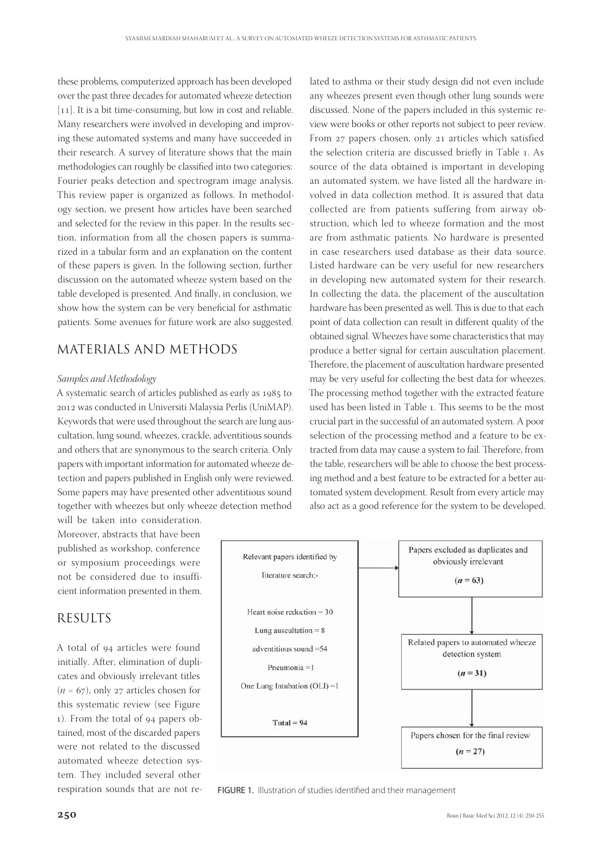these problems, computerized approach has been developed over the past three decades for automated wheeze detection  $[11]$ . It is a bit time-consuming, but low in cost and reliable. Many researchers were involved in developing and improving these automated systems and many have succeeded in their research. A survey of literature shows that the main methodologies can roughly be classified into two categories: Fourier peaks detection and spectrogram image analysis. This review paper is organized as follows. In methodology section, we present how articles have been searched and selected for the review in this paper. In the results section, information from all the chosen papers is summarized in a tabular form and an explanation on the content of these papers is given. In the following section, further discussion on the automated wheeze system based on the table developed is presented. And finally, in conclusion, we show how the system can be very beneficial for asthmatic patients. Some avenues for future work are also suggested.

# MATERIALS AND METHODS

#### *Samples and Methodology*

A systematic search of articles published as early as 1985 to 2012 was conducted in Universiti Malaysia Perlis (UniMAP). Keywords that were used throughout the search are lung auscultation, lung sound, wheezes, crackle, adventitious sounds and others that are synonymous to the search criteria. Only papers with important information for automated wheeze detection and papers published in English only were reviewed. Some papers may have presented other adventitious sound together with wheezes but only wheeze detection method

will be taken into consideration. Moreover, abstracts that have been published as workshop, conference or symposium proceedings were not be considered due to insufficient information presented in them.

#### **RESULTS**

A total of 94 articles were found initially. After, elimination of duplicates and obviously irrelevant titles  $(n = 67)$ , only 27 articles chosen for this systematic review (see Figure ). From the total of papers obtained, most of the discarded papers were not related to the discussed automated wheeze detection system. They included several other respiration sounds that are not re-

lated to asthma or their study design did not even include any wheezes present even though other lung sounds were discussed. None of the papers included in this systemic review were books or other reports not subject to peer review. From 27 papers chosen, only 21 articles which satisfied the selection criteria are discussed briefly in Table 1. As source of the data obtained is important in developing an automated system, we have listed all the hardware involved in data collection method. It is assured that data collected are from patients suffering from airway obstruction, which led to wheeze formation and the most are from asthmatic patients. No hardware is presented in case researchers used database as their data source. Listed hardware can be very useful for new researchers in developing new automated system for their research. In collecting the data, the placement of the auscultation hardware has been presented as well. This is due to that each point of data collection can result in different quality of the obtained signal. Wheezes have some characteristics that may produce a better signal for certain auscultation placement. Therefore, the placement of auscultation hardware presented may be very useful for collecting the best data for wheezes. The processing method together with the extracted feature used has been listed in Table 1. This seems to be the most crucial part in the successful of an automated system. A poor selection of the processing method and a feature to be extracted from data may cause a system to fail. Therefore, from the table, researchers will be able to choose the best processing method and a best feature to be extracted for a better automated system development. Result from every article may also act as a good reference for the system to be developed.



FIGURE 1. Illustration of studies identified and their management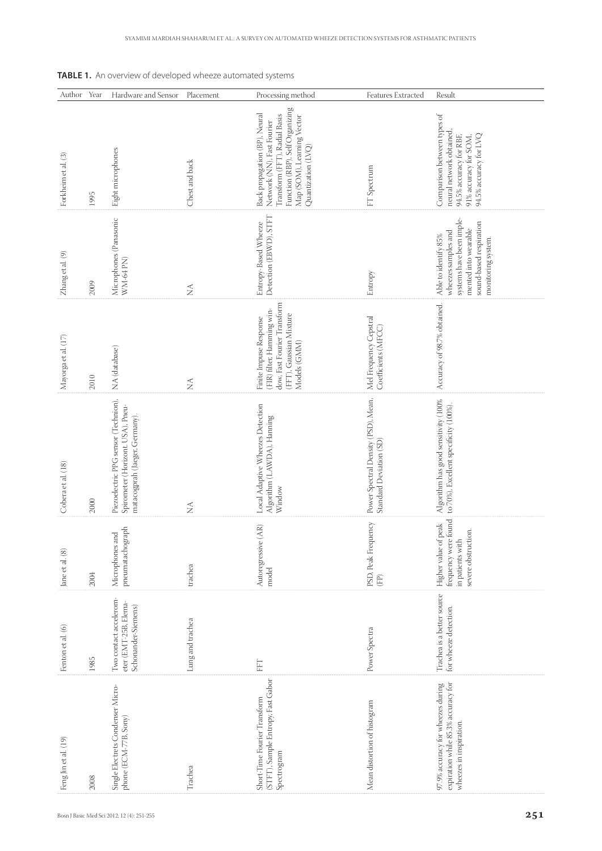| Author               | Year | Hardware and Sensor                                                                                         | Placement                    | Processing method                                                                                                                                                                   | Features Extracted                                             | Result                                                                                                                                           |
|----------------------|------|-------------------------------------------------------------------------------------------------------------|------------------------------|-------------------------------------------------------------------------------------------------------------------------------------------------------------------------------------|----------------------------------------------------------------|--------------------------------------------------------------------------------------------------------------------------------------------------|
| Forkheim et al. (3)  | 1995 | Eight microphones                                                                                           | Chest and back               | Function (RBP), Self Organizing<br>Back propagation (BP), Neural<br>Transform (FFT), Radial Basis<br>Map (SOM), Learning Vector<br>Network (NN), Fast Fourier<br>Quantization (LVQ) | FT Spectrum                                                    | Comparison between types of<br>neural network obtained,<br>94.5% accuracy for LVQ<br>94.5% accuracy for RBF,<br>91% accuracy for SOM,            |
| Zhang et al. (9)     | 2009 | Microphones (Panasonic<br>WM-64 PN)                                                                         | ₹                            | Detection (EBWD), STFT<br>Entropy-Based Wheeze                                                                                                                                      | Entropy                                                        | systems have been imple-<br>sound-based respiration<br>mented into wearable<br>wheezes samples and<br>Able to identify 85%<br>monitoring system. |
| Mayorga et al. (17)  | 2010 | NA (database)                                                                                               | $\stackrel{\triangle}{\geq}$ | dow, Fast Fourier Transform<br>(FIR) filter, Hamming win-<br>(FFT), Gaussian Mixture<br>Finite Impuse Response<br>Models (GMM)                                                      | Mel Frequency Cepstral<br>Coefficients (MFCC)                  | Accuracy of 98.7% obtained.                                                                                                                      |
| Cobera et al. (18)   | 2000 | Piezoelectric PPG sensor (Technion),<br>Spirometer (Horizont. USA), Pneu-<br>matacogprah (Jaeger, Germany). | $\lessapprox$                | Local Adaptive Wheezes Detection<br>Algorithm (LAWDA), Hanning<br>Window                                                                                                            | Power Spectral Density (PSD), Mean,<br>Standard Deviation (SD) | Algorithm has good sensitivity (100%<br>to 70%), Excellent specificity (100%).                                                                   |
| Jane et al. (8)      | 2004 | derago<br>Microphones and<br>pneumatacho                                                                    | trachea                      | Autoregressive (AR)<br>model                                                                                                                                                        | PSD, Peak Frequency<br>(FP)                                    | Higher value of peak<br>frequency were found<br>severe obstruction.<br>in patients with                                                          |
| Fenton et al. (6)    | 1985 | Two contact accelerom-<br>eter (EMT-25B, Elema-<br>Schonander-Siemens)                                      | Lung and trachea             | FFT                                                                                                                                                                                 | Power Spectra                                                  | Trachea is a better source<br>for wheeze detection.                                                                                              |
| Feng Jin et al. (19) | 2008 | Single Electrets Condenser Micro-<br>phone (ECM-77B, Sony)                                                  | Trachea                      | (STFT), Sample Entropy, Fast Gabor<br>Short-Time Fourier Transform<br>Spectrogram                                                                                                   | Mean distortion of histogram                                   | expiration while 85.3% accuracy for<br>97.9% accuracy for wheezes during<br>wheezes in inspiration.                                              |

| TABLE 1. An overview of developed wheeze automated systems |  |
|------------------------------------------------------------|--|
|------------------------------------------------------------|--|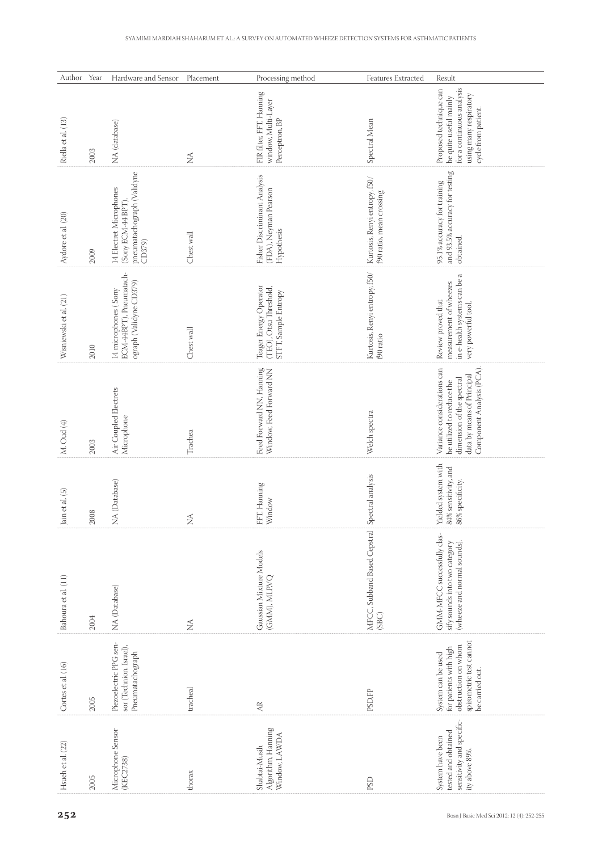| Author                 | Year | Hardware and Sensor                                                                   | Placement     | Processing method                                                        | Features Extracted                                        | Result                                                                                                                                          |
|------------------------|------|---------------------------------------------------------------------------------------|---------------|--------------------------------------------------------------------------|-----------------------------------------------------------|-------------------------------------------------------------------------------------------------------------------------------------------------|
| Riella et al. (13)     | 2003 | NA (database)                                                                         | $\lessapprox$ | FIR filter, FFT, Hanning<br>window, Multi-Layer<br>Perceptron, BP        | Spectral Mean                                             | for a continuous analysis<br>Proposed technique can<br>using many respiratory<br>be quite useful mainly<br>cycle from patient.                  |
| Aydore et al. (20)     | 2009 | pneumatachograph (Validyne<br>14 Electret Microphones<br>(Sony ECM-44 BPT),<br>CD379) | Chest wall    | Fisher Discriminant Analysis<br>(FDA), Neyman Pearson<br>Hypothesis      | Kurtosis, Renyi entropy, f50/<br>690 ratio, mean crossing | and 93.5% accuracy for testing<br>95.1% accuracy for training<br>obtained.                                                                      |
| Wisniewski et al. (21) | 2010 | ECM-44BPT), Pneumatach-<br>ograph (Validyne CD379)<br>14 microphones (Sony            | Chest wall    | Teager Energy Operator<br>(TEO), Otsu Threshold,<br>STFT, Sample Entropy | Kurtosis, Renyi entropy, f50/<br>(90 ratio                | in e-health systems can be a<br>measurement of wheezes<br>Review proved that<br>very powerful tool.                                             |
| M. Oud (4)             | 2003 | Air Coupled Electrets<br>Microphone                                                   | Trachea       | Feed Forward NN, Hanning<br>Window, Feed Forward NN                      | Welch spectra                                             | Variance considerations can<br>Component Analysis (PCA)<br>data by means of Principal<br>dimension of the spectral<br>be utilized to reduce the |
| Jain et al. (5)        | 2008 | NA (Database)                                                                         | $\lessapprox$ | FFT, Hanning<br>Window                                                   | Spectral analysis                                         | Yielded system with<br>84% sensitivity, and<br>86% specificity.                                                                                 |
| Bahoura et al. $(11)$  | 2004 | NA (Database)                                                                         | $\lessapprox$ | Gaussian Mixture Models<br>(GMM), MLP,VQ                                 | MFCC, Subband Based Cepstral<br>(SBC)                     | GMM-MFCC successfully clas-<br>sify sounds into two category<br>(wheeze and normal sounds).                                                     |
| Cortes et al. (16)     | 2005 | Piezoelectric PPG sen-<br>sor (Technion, Israel),<br>Pneumatachograph                 | tracheal      | $\overrightarrow{AR}$                                                    | PSD,FP                                                    | spirometric test cannot<br>obstruction on whom<br>for patients with high<br>System can be used<br>be carried out.                               |
| Hsueh et al. (22)      | 2005 | Microphone Sensor<br>(KEC2738)                                                        | thorax        | Algorithm, Hanning<br>Window, LAWDA<br>Shabtai-Musih                     | PSD                                                       | sensitivity and specific-<br>tested and obtained<br>System have been<br>ity above 89%.                                                          |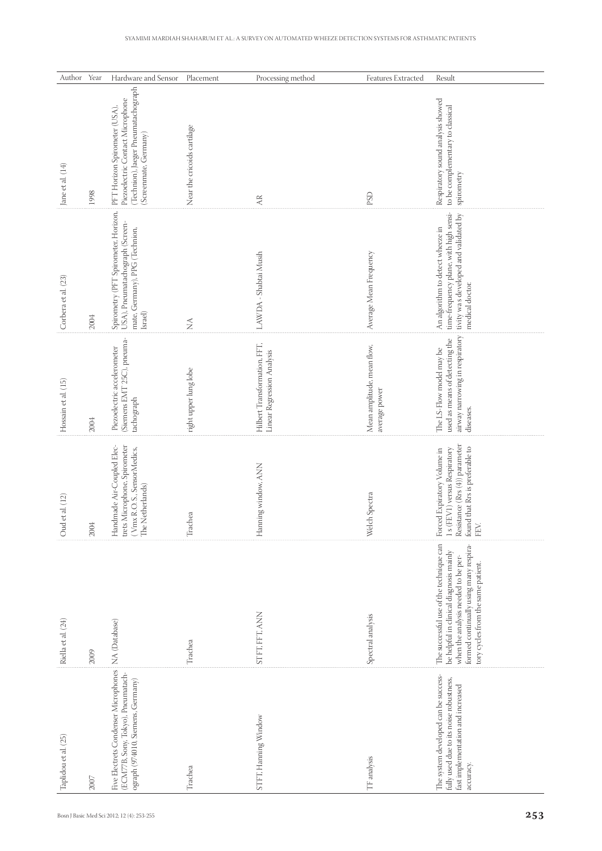| Author               | Year | Hardware and Sensor                                                                                                               | Placement                   | Processing method                                          | Features Extracted                          | Result                                                                                                                                                                                                    |
|----------------------|------|-----------------------------------------------------------------------------------------------------------------------------------|-----------------------------|------------------------------------------------------------|---------------------------------------------|-----------------------------------------------------------------------------------------------------------------------------------------------------------------------------------------------------------|
| Jane et al. (14)     | 1998 | (Technion), Jaeger Pneumatachograph<br>Piezoelectric Contact Microphone<br>PFT Horizon Spirometer (USA),<br>(Screenmate, Germany) | Near the cricoids cartilage | $\widetilde{\prec}$                                        | <b>PSD</b>                                  | Respiratory sound analysis showed<br>to be complementary to classical<br>spirometry                                                                                                                       |
| Corbera et al. (23)  | 2004 | Spirometry (PFT Spirometer, Horizon,<br>USA), Pneumatachograph (Screen-<br>mate, Germany), PPG (Technion,<br>Israel)              | $\lessapprox$               | LAWDA - Shabtai Musih                                      | Average Mean Frequency                      | time-frequency plane, with high sensi-<br>tivity was developed and validated by<br>An algorithm to detect wheeze in<br>medical doctor.                                                                    |
| Hossain et al. (15)  | 2004 | (Siemens EMT 25C), pneuma-<br>Piezoelectric accelerometer<br>tachograph                                                           | right upper lung lobe       | Hilbert Transformation, FFT,<br>Linear Regression Analysis | Mean amplitude, mean flow,<br>average power | airway narrowing in respiratory<br>used as means of detecting the<br>The LS-Flow model may be<br>diseases.                                                                                                |
| Oud et al. (12)      | 2004 | trets Microphone, Spirometer<br>Handmade Air-Coupled Elec-<br>(Vmx R.O. S., SensorMedics,<br>The Netherlands)                     | Trachea                     | Hanning window, ANN                                        | Welch Spectra                               | Resistance (Rrs (4)) parameter<br>found that Rrs is preferable to<br>1 s (FEV1) versus Respiratory<br>Forced Expiratory Volume in<br>FEV.                                                                 |
| Riella et al. (24)   | 2009 | NA (Database)                                                                                                                     | Trachea                     | STFT, FFT, ANN                                             | Spectral analysis                           | The successful use of the technique can<br>formed continually using many respira-<br>be helpful in clinical diagnosis mainly<br>when the analysis needed to be per-<br>tory cycles from the same patient. |
| Taplidou et al. (25) | 2007 | Five Electrets Condenser Microphones<br>(ECM77B, Sony, Tokyo), Pneumatach-<br>ograph (974010, Siemens, Germany)                   | Trachea                     | STFT, Hanning Window                                       | TF analysis                                 | The system developed can be success-<br>fully used due to its noise robustness,<br>fast implementation and increased<br>accuracy.                                                                         |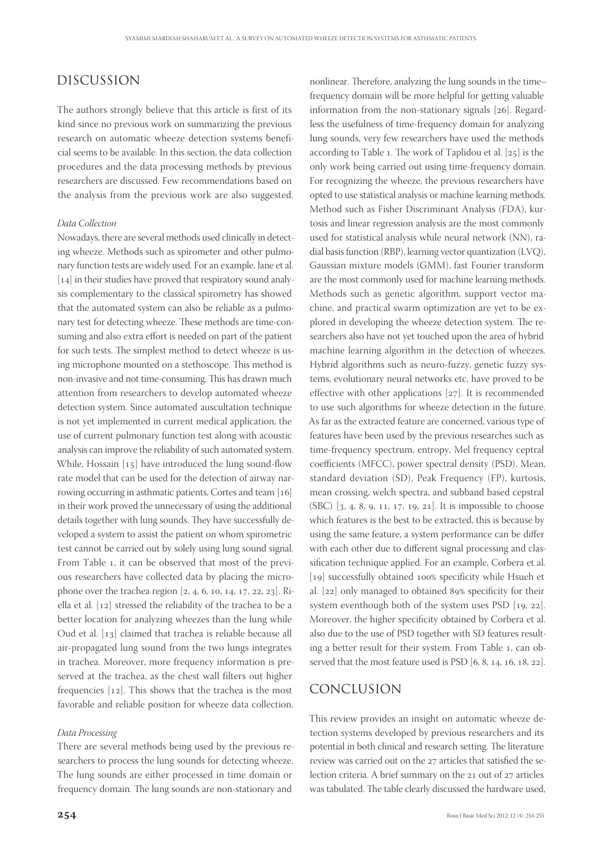# DISCUSSION

The authors strongly believe that this article is first of its kind since no previous work on summarizing the previous research on automatic wheeze detection systems beneficial seems to be available. In this section, the data collection procedures and the data processing methods by previous researchers are discussed. Few recommendations based on the analysis from the previous work are also suggested.

#### *Data Collection*

Nowadays, there are several methods used clinically in detecting wheeze. Methods such as spirometer and other pulmonary function tests are widely used. For an example, Jane et al.  $[14]$  in their studies have proved that respiratory sound analysis complementary to the classical spirometry has showed that the automated system can also be reliable as a pulmonary test for detecting wheeze. These methods are time-consuming and also extra effort is needed on part of the patient for such tests. The simplest method to detect wheeze is using microphone mounted on a stethoscope. This method is non-invasive and not time-consuming. This has drawn much attention from researchers to develop automated wheeze detection system. Since automated auscultation technique is not yet implemented in current medical application, the use of current pulmonary function test along with acoustic analysis can improve the reliability of such automated system. While, Hossain  $[15]$  have introduced the lung sound-flow rate model that can be used for the detection of airway narrowing occurring in asthmatic patients, Cortes and team [16] in their work proved the unnecessary of using the additional details together with lung sounds. They have successfully developed a system to assist the patient on whom spirometric test cannot be carried out by solely using lung sound signal. From Table 1, it can be observed that most of the previous researchers have collected data by placing the microphone over the trachea region  $[2, 4, 6, 10, 14, 17, 22, 23]$ . Riella et al.  $[12]$  stressed the reliability of the trachea to be a better location for analyzing wheezes than the lung while Oud et al.  $[13]$  claimed that trachea is reliable because all air-propagated lung sound from the two lungs integrates in trachea. Moreover, more frequency information is preserved at the trachea, as the chest wall filters out higher frequencies  $[12]$ . This shows that the trachea is the most favorable and reliable position for wheeze data collection.

#### *Data Processing*

There are several methods being used by the previous researchers to process the lung sounds for detecting wheeze. The lung sounds are either processed in time domain or frequency domain. The lung sounds are non-stationary and

nonlinear. Therefore, analyzing the lung sounds in the timefrequency domain will be more helpful for getting valuable information from the non-stationary signals  $[26]$ . Regardless the usefulness of time-frequency domain for analyzing lung sounds, very few researchers have used the methods according to Table 1. The work of Taplidou et al.  $[25]$  is the only work being carried out using time-frequency domain. For recognizing the wheeze, the previous researchers have opted to use statistical analysis or machine learning methods. Method such as Fisher Discriminant Analysis (FDA), kurtosis and linear regression analysis are the most commonly used for statistical analysis while neural network (NN), radial basis function (RBP), learning vector quantization (LVQ), Gaussian mixture models (GMM), fast Fourier transform are the most commonly used for machine learning methods. Methods such as genetic algorithm, support vector machine, and practical swarm optimization are yet to be explored in developing the wheeze detection system. The researchers also have not yet touched upon the area of hybrid machine learning algorithm in the detection of wheezes. Hybrid algorithms such as neuro-fuzzy, genetic fuzzy systems, evolutionary neural networks etc, have proved to be effective with other applications  $[27]$ . It is recommended to use such algorithms for wheeze detection in the future. As far as the extracted feature are concerned, various type of features have been used by the previous researches such as time-frequency spectrum, entropy, Mel frequency ceptral coefficients (MFCC), power spectral density (PSD), Mean, standard deviation (SD), Peak Frequency (FP), kurtosis, mean crossing, welch spectra, and subband based cepstral (SBC)  $[3, 4, 8, 9, 11, 17, 19, 21]$ . It is impossible to choose which features is the best to be extracted, this is because by using the same feature, a system performance can be differ with each other due to different signal processing and classification technique applied. For an example, Corbera et al.  $[19]$  successfully obtained  $100\%$  specificity while Hsueh et al.  $[22]$  only managed to obtained 89% specificity for their system eventhough both of the system uses PSD  $[19, 22]$ . Moreover, the higher specificity obtained by Corbera et al. also due to the use of PSD together with SD features resulting a better result for their system. From Table 1, can observed that the most feature used is PSD  $[6, 8, 14, 16, 18, 22]$ .

## CONCLUSION

This review provides an insight on automatic wheeze detection systems developed by previous researchers and its potential in both clinical and research setting. The literature review was carried out on the 27 articles that satisfied the selection criteria. A brief summary on the  $21$  out of  $27$  articles was tabulated. The table clearly discussed the hardware used,